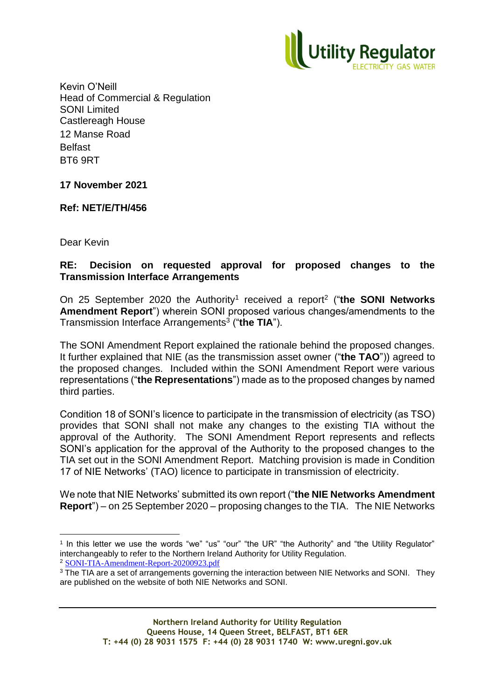

Kevin O'Neill Head of Commercial & Regulation SONI Limited Castlereagh House 12 Manse Road Belfast BT6 9RT

**17 November 2021**

**Ref: NET/E/TH/456**

Dear Kevin

<u>.</u>

## **RE: Decision on requested approval for proposed changes to the Transmission Interface Arrangements**

On 25 September 2020 the Authority<sup>1</sup> received a report<sup>2</sup> ("the **SONI Networks Amendment Report**") wherein SONI proposed various changes/amendments to the Transmission Interface Arrangements<sup>3</sup> ("the TIA").

The SONI Amendment Report explained the rationale behind the proposed changes. It further explained that NIE (as the transmission asset owner ("**the TAO**")) agreed to the proposed changes. Included within the SONI Amendment Report were various representations ("**the Representations**") made as to the proposed changes by named third parties.

Condition 18 of SONI's licence to participate in the transmission of electricity (as TSO) provides that SONI shall not make any changes to the existing TIA without the approval of the Authority. The SONI Amendment Report represents and reflects SONI's application for the approval of the Authority to the proposed changes to the TIA set out in the SONI Amendment Report. Matching provision is made in Condition 17 of NIE Networks' (TAO) licence to participate in transmission of electricity.

We note that NIE Networks' submitted its own report ("**the NIE Networks Amendment Report**") – on 25 September 2020 – proposing changes to the TIA. The NIE Networks

<sup>1</sup> In this letter we use the words "we" "us" "our" "the UR" "the Authority" and "the Utility Regulator" interchangeably to refer to the Northern Ireland Authority for Utility Regulation. <sup>2</sup> [SONI-TIA-Amendment-Report-20200923.pdf](https://www.soni.ltd.uk/media/documents/SONI-TIA-Amendment-Report-20200923.pdf)

<sup>&</sup>lt;sup>3</sup> The TIA are a set of arrangements governing the interaction between NIE Networks and SONI. They are published on the website of both NIE Networks and SONI.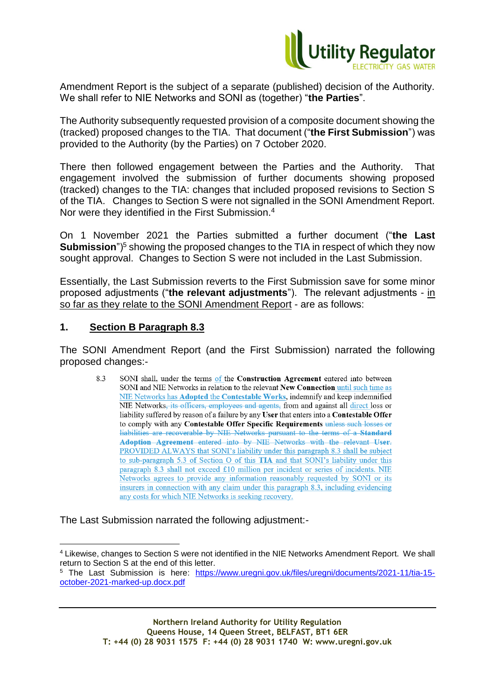

Amendment Report is the subject of a separate (published) decision of the Authority. We shall refer to NIE Networks and SONI as (together) "**the Parties**".

The Authority subsequently requested provision of a composite document showing the (tracked) proposed changes to the TIA. That document ("**the First Submission**") was provided to the Authority (by the Parties) on 7 October 2020.

There then followed engagement between the Parties and the Authority. That engagement involved the submission of further documents showing proposed (tracked) changes to the TIA: changes that included proposed revisions to Section S of the TIA. Changes to Section S were not signalled in the SONI Amendment Report. Nor were they identified in the First Submission.<sup>4</sup>

On 1 November 2021 the Parties submitted a further document ("**the Last Submission**")<sup>5</sup> showing the proposed changes to the TIA in respect of which they now sought approval. Changes to Section S were not included in the Last Submission.

Essentially, the Last Submission reverts to the First Submission save for some minor proposed adjustments ("**the relevant adjustments**"). The relevant adjustments - in so far as they relate to the SONI Amendment Report - are as follows:

### **1. Section B Paragraph 8.3**

1

The SONI Amendment Report (and the First Submission) narrated the following proposed changes:-

8.3 SONI shall, under the terms of the Construction Agreement entered into between SONI and NIE Networks in relation to the relevant New Connection until such time as NIE Networks has Adopted the Contestable Works, indemnify and keep indemnified NIE Networks, its officers, employees and agents, from and against all direct loss or liability suffered by reason of a failure by any User that enters into a Contestable Offer to comply with any Contestable Offer Specific Requirements unless such losses or liabilities are recoverable by NIE Networks pursuant to the terms of a Standard Adoption Agreement entered into by NIE Networks with the relevant User. PROVIDED ALWAYS that SONI's liability under this paragraph 8.3 shall be subject to sub-paragraph 5.3 of Section O of this TIA and that SONI's liability under this paragraph 8.3 shall not exceed £10 million per incident or series of incidents. NIE Networks agrees to provide any information reasonably requested by SONI or its insurers in connection with any claim under this paragraph 8.3, including evidencing any costs for which NIE Networks is seeking recovery.

The Last Submission narrated the following adjustment:-

<sup>4</sup> Likewise, changes to Section S were not identified in the NIE Networks Amendment Report. We shall return to Section S at the end of this letter.

<sup>5</sup> The Last Submission is here: [https://www.uregni.gov.uk/files/uregni/documents/2021-11/tia-15](https://www.uregni.gov.uk/files/uregni/documents/2021-11/tia-15-october-2021-marked-up.docx.pdf) [october-2021-marked-up.docx.pdf](https://www.uregni.gov.uk/files/uregni/documents/2021-11/tia-15-october-2021-marked-up.docx.pdf)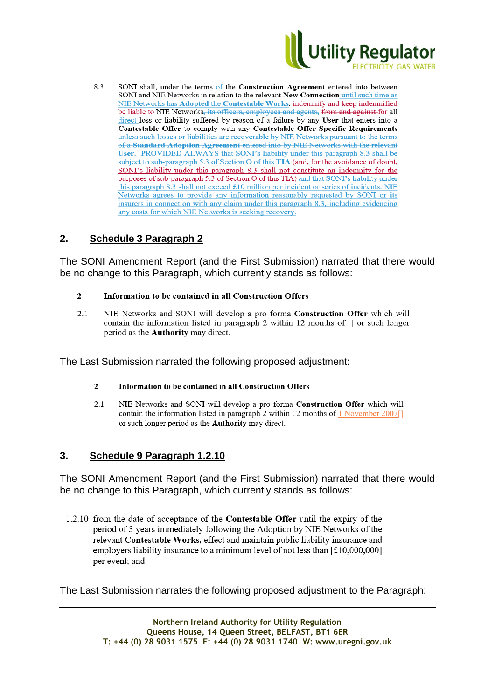

8.3 SONI shall, under the terms of the Construction Agreement entered into between SONI and NIE Networks in relation to the relevant New Connection until such time as NIE Networks has Adopted the Contestable Works, indemnify and keep indemnified be liable to NIE Networks, its officers, employees and agents, from and against for all direct loss or liability suffered by reason of a failure by any User that enters into a Contestable Offer to comply with any Contestable Offer Specific Requirements unless such losses or liabilities are recoverable by NIE Networks pursuant to the terms of a Standard Adoption Agreement entered into by NIE Networks with the relevant User. PROVIDED ALWAYS that SONI's liability under this paragraph 8.3 shall be subject to sub-paragraph 5.3 of Section O of this TIA (and, for the avoidance of doubt, SONI's liability under this paragraph 8.3 shall not constitute an indemnity for the purposes of sub-paragraph 5.3 of Section O of this TIA) and that SONI's liability under this paragraph 8.3 shall not exceed £10 million per incident or series of incidents. NIE Networks agrees to provide any information reasonably requested by SONI or its insurers in connection with any claim under this paragraph 8.3, including evidencing any costs for which NIE Networks is seeking recovery.

## **2. Schedule 3 Paragraph 2**

The SONI Amendment Report (and the First Submission) narrated that there would be no change to this Paragraph, which currently stands as follows:

#### $\overline{2}$ Information to be contained in all Construction Offers

 $2.1$ NIE Networks and SONI will develop a pro forma Construction Offer which will contain the information listed in paragraph 2 within 12 months of [] or such longer period as the **Authority** may direct.

The Last Submission narrated the following proposed adjustment:

#### $\overline{2}$ Information to be contained in all Construction Offers

 $2.1$ NIE Networks and SONI will develop a pro forma Construction Offer which will contain the information listed in paragraph 2 within 12 months of 1 November 2007 $\left\vert \right\vert$ or such longer period as the Authority may direct.

### **3. Schedule 9 Paragraph 1.2.10**

The SONI Amendment Report (and the First Submission) narrated that there would be no change to this Paragraph, which currently stands as follows:

1.2.10 from the date of acceptance of the **Contestable Offer** until the expiry of the period of 3 years immediately following the Adoption by NIE Networks of the relevant Contestable Works, effect and maintain public liability insurance and employers liability insurance to a minimum level of not less than  $[£10,000,000]$ per event; and

The Last Submission narrates the following proposed adjustment to the Paragraph:

**Northern Ireland Authority for Utility Regulation Queens House, 14 Queen Street, BELFAST, BT1 6ER T: +44 (0) 28 9031 1575 F: +44 (0) 28 9031 1740 W: www.uregni.gov.uk**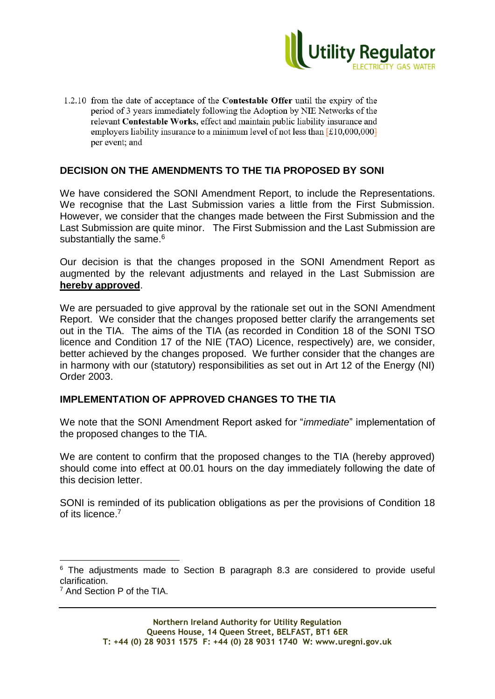

1.2.10 from the date of acceptance of the **Contestable Offer** until the expiry of the period of 3 years immediately following the Adoption by NIE Networks of the relevant Contestable Works, effect and maintain public liability insurance and employers liability insurance to a minimum level of not less than  $\frac{[f(10,000,000)]}{[f(10,000,000)]}$ per event; and

# **DECISION ON THE AMENDMENTS TO THE TIA PROPOSED BY SONI**

We have considered the SONI Amendment Report, to include the Representations. We recognise that the Last Submission varies a little from the First Submission. However, we consider that the changes made between the First Submission and the Last Submission are quite minor. The First Submission and the Last Submission are substantially the same.<sup>6</sup>

Our decision is that the changes proposed in the SONI Amendment Report as augmented by the relevant adjustments and relayed in the Last Submission are **hereby approved**.

We are persuaded to give approval by the rationale set out in the SONI Amendment Report. We consider that the changes proposed better clarify the arrangements set out in the TIA. The aims of the TIA (as recorded in Condition 18 of the SONI TSO licence and Condition 17 of the NIE (TAO) Licence, respectively) are, we consider, better achieved by the changes proposed. We further consider that the changes are in harmony with our (statutory) responsibilities as set out in Art 12 of the Energy (NI) Order 2003.

### **IMPLEMENTATION OF APPROVED CHANGES TO THE TIA**

We note that the SONI Amendment Report asked for "*immediate*" implementation of the proposed changes to the TIA.

We are content to confirm that the proposed changes to the TIA (hereby approved) should come into effect at 00.01 hours on the day immediately following the date of this decision letter.

SONI is reminded of its publication obligations as per the provisions of Condition 18 of its licence.<sup>7</sup>

1

<sup>&</sup>lt;sup>6</sup> The adjustments made to Section B paragraph 8.3 are considered to provide useful clarification.

<sup>7</sup> And Section P of the TIA.